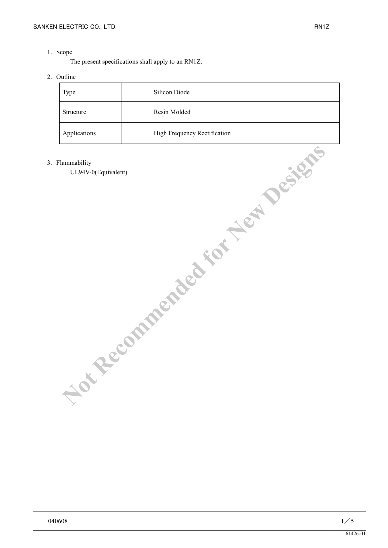### 1. Scope

The present specifications shall apply to an RN1Z.

# 2. Outline

| Type         | Silicon Diode                |
|--------------|------------------------------|
| Structure    | Resin Molded                 |
| Applications | High Frequency Rectification |

#### 3. Flammability

UL94V-0(Equivalent) **MINUTES COMMENDED FOR NEW DESIGNS**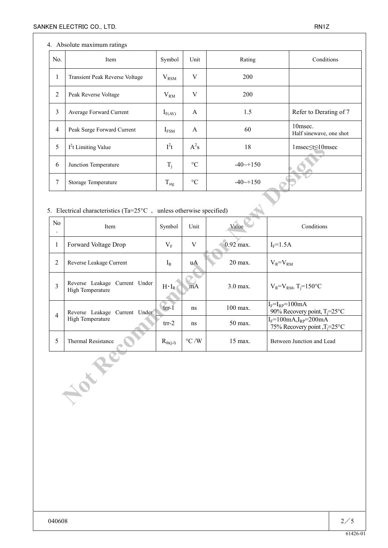### 4. Absolute maximum ratings

| No.            | Item                                  | Symbol           | Unit            | Rating                 | Conditions                         |
|----------------|---------------------------------------|------------------|-----------------|------------------------|------------------------------------|
| $\mathbf{I}$   | <b>Transient Peak Reverse Voltage</b> | $V_{\rm RSM}$    | V               | 200                    |                                    |
| $\overline{2}$ | Peak Reverse Voltage                  | $V_{RM}$         | V               | <b>200</b>             |                                    |
| 3              | Average Forward Current               | $I_{F(AV)}$      | A               | 1.5                    | Refer to Derating of 7             |
| $\overline{4}$ | Peak Surge Forward Current            | $I_{FSM}$        | $\mathsf{A}$    | 60                     | 10msec.<br>Half sinewave, one shot |
| 5              | $I2t$ Limiting Value                  | $I^2t$           | $A^2s$          | 18                     | 1msec≤t≤10msec                     |
| 6              | Junction Temperature                  | $T_i$            | $\rm ^{\circ}C$ | $-40 \rightarrow +150$ |                                    |
| 7              | Storage Temperature                   | $T_{\text{stg}}$ | $\rm ^{\circ}C$ | $-40 \rightarrow 150$  |                                    |

# 5. Electrical characteristics (Ta= $25^{\circ}$ C , unless otherwise specified)

| 5                                                                              | 1 <sup>-</sup> t Limiting Value                   | l <sup>2</sup> t | $A^2s$             | 18           | $1$ msec $\leq t \leq 10$ msec                                 |  |  |  |
|--------------------------------------------------------------------------------|---------------------------------------------------|------------------|--------------------|--------------|----------------------------------------------------------------|--|--|--|
| 6                                                                              | Junction Temperature                              | $T_i$            | $\rm ^{\circ}C$    | $-40$ $-150$ |                                                                |  |  |  |
| $\tau$                                                                         | Storage Temperature                               | $T_{\rm{stg}}$   | $\rm ^{\circ}C$    | $-40$ $-150$ |                                                                |  |  |  |
| 5. Electrical characteristics (Ta= $25^{\circ}$ C, unless otherwise specified) |                                                   |                  |                    |              |                                                                |  |  |  |
| No                                                                             | Item                                              |                  | Unit               | Value        | Conditions                                                     |  |  |  |
| $\mathbf{1}$                                                                   | Forward Voltage Drop                              | $V_{F}$          | V                  | $0.92$ max.  | $I_F=1.5A$                                                     |  |  |  |
| $\overline{2}$                                                                 | Reverse Leakage Current                           | $I_R$            | <b>u</b> A         | 20 max.      | $V_R = V_{RM}$                                                 |  |  |  |
| $\overline{3}$                                                                 | Reverse Leakage Current Under<br>High Temperature | $H \cdot I_R$    | mA                 | 3.0 max.     | $V_R = V_{RM}$ , T <sub>j</sub> =150°C                         |  |  |  |
| $\overline{4}$                                                                 | Reverse Leakage Current Under                     | trl1             | ns                 | 100 max.     | $I_F = I_{RP} = 100mA$<br>90% Recovery point, $T_i = 25$ °C    |  |  |  |
|                                                                                | High Temperature                                  | $trr-2$          | ns                 | 50 max.      | $I_F=100mA, I_{RP}=200mA$<br>75% Recovery point, $T_i = 25$ °C |  |  |  |
| 5                                                                              | Thermal Resistance                                | $R_{th(i-l)}$    | $\rm ^{\circ}C$ /W | 15 max.      | Between Junction and Lead                                      |  |  |  |
| <b>PARK</b>                                                                    |                                                   |                  |                    |              |                                                                |  |  |  |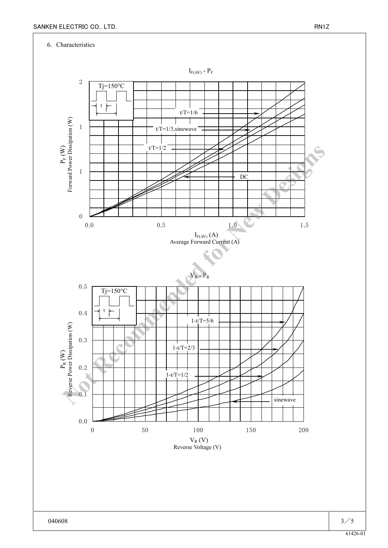## 6. Characteristics

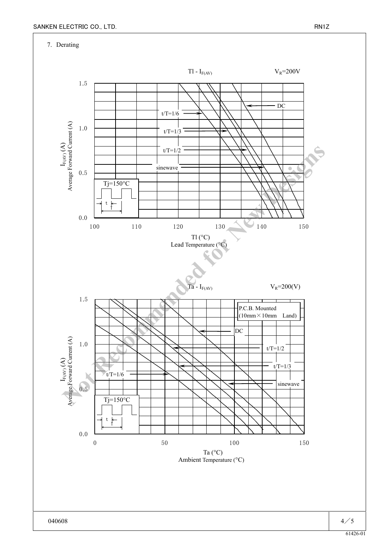7. Derating